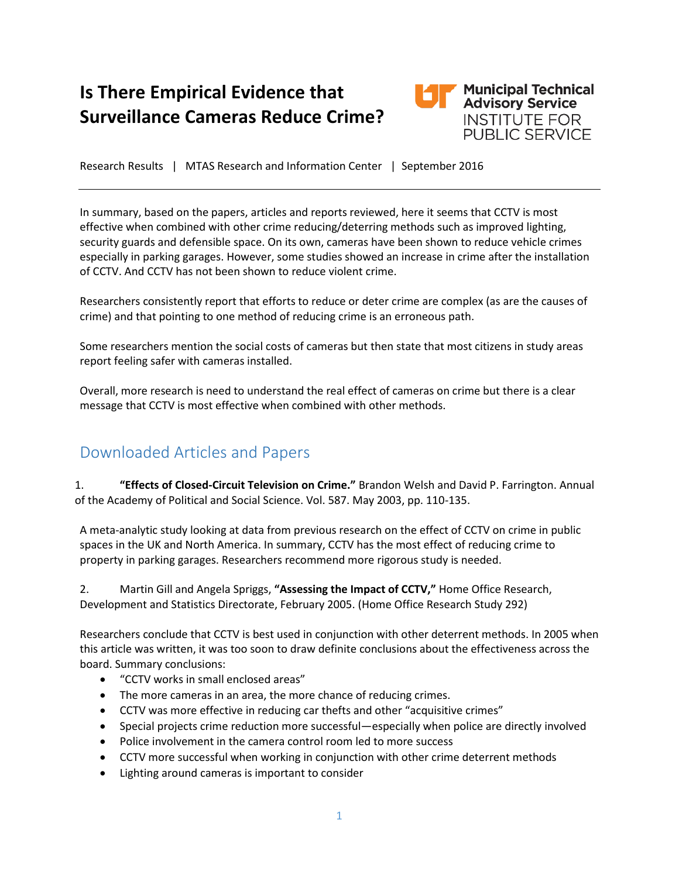# **Is There Empirical Evidence that Surveillance Cameras Reduce Crime?**



Research Results | MTAS Research and Information Center | September 2016

In summary, based on the papers, articles and reports reviewed, here it seems that CCTV is most effective when combined with other crime reducing/deterring methods such as improved lighting, security guards and defensible space. On its own, cameras have been shown to reduce vehicle crimes especially in parking garages. However, some studies showed an increase in crime after the installation of CCTV. And CCTV has not been shown to reduce violent crime.

Researchers consistently report that efforts to reduce or deter crime are complex (as are the causes of crime) and that pointing to one method of reducing crime is an erroneous path.

Some researchers mention the social costs of cameras but then state that most citizens in study areas report feeling safer with cameras installed.

Overall, more research is need to understand the real effect of cameras on crime but there is a clear message that CCTV is most effective when combined with other methods.

## Downloaded Articles and Papers

1. **"Effects of Closed-Circuit Television on Crime."** Brandon Welsh and David P. Farrington. Annual of the Academy of Political and Social Science. Vol. 587. May 2003, pp. 110-135.

A meta-analytic study looking at data from previous research on the effect of CCTV on crime in public spaces in the UK and North America. In summary, CCTV has the most effect of reducing crime to property in parking garages. Researchers recommend more rigorous study is needed.

2. Martin Gill and Angela Spriggs, **"Assessing the Impact of CCTV,"** Home Office Research, Development and Statistics Directorate, February 2005. (Home Office Research Study 292)

Researchers conclude that CCTV is best used in conjunction with other deterrent methods. In 2005 when this article was written, it was too soon to draw definite conclusions about the effectiveness across the board. Summary conclusions:

- "CCTV works in small enclosed areas"
- The more cameras in an area, the more chance of reducing crimes.
- CCTV was more effective in reducing car thefts and other "acquisitive crimes"
- Special projects crime reduction more successful—especially when police are directly involved
- Police involvement in the camera control room led to more success
- CCTV more successful when working in conjunction with other crime deterrent methods
- Lighting around cameras is important to consider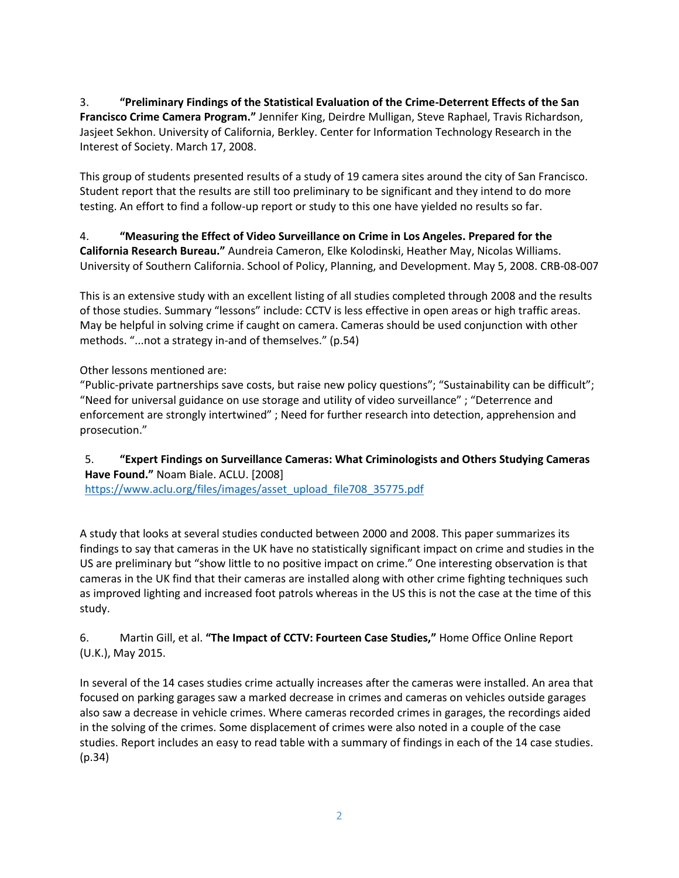3. **"Preliminary Findings of the Statistical Evaluation of the Crime-Deterrent Effects of the San Francisco Crime Camera Program."** Jennifer King, Deirdre Mulligan, Steve Raphael, Travis Richardson, Jasjeet Sekhon. University of California, Berkley. Center for Information Technology Research in the Interest of Society. March 17, 2008.

This group of students presented results of a study of 19 camera sites around the city of San Francisco. Student report that the results are still too preliminary to be significant and they intend to do more testing. An effort to find a follow-up report or study to this one have yielded no results so far.

#### 4. **"Measuring the Effect of Video Surveillance on Crime in Los Angeles. Prepared for the California Research Bureau."** Aundreia Cameron, Elke Kolodinski, Heather May, Nicolas Williams. University of Southern California. School of Policy, Planning, and Development. May 5, 2008. CRB-08-007

This is an extensive study with an excellent listing of all studies completed through 2008 and the results of those studies. Summary "lessons" include: CCTV is less effective in open areas or high traffic areas. May be helpful in solving crime if caught on camera. Cameras should be used conjunction with other methods. "...not a strategy in-and of themselves." (p.54)

Other lessons mentioned are:

"Public-private partnerships save costs, but raise new policy questions"; "Sustainability can be difficult"; "Need for universal guidance on use storage and utility of video surveillance" ; "Deterrence and enforcement are strongly intertwined" ; Need for further research into detection, apprehension and prosecution."

#### 5. **"Expert Findings on Surveillance Cameras: What Criminologists and Others Studying Cameras Have Found."** Noam Biale. ACLU. [2008]

[https://www.aclu.org/files/images/asset\\_upload\\_file708\\_35775.pdf](https://www.aclu.org/files/images/asset_upload_file708_35775.pdf)

A study that looks at several studies conducted between 2000 and 2008. This paper summarizes its findings to say that cameras in the UK have no statistically significant impact on crime and studies in the US are preliminary but "show little to no positive impact on crime." One interesting observation is that cameras in the UK find that their cameras are installed along with other crime fighting techniques such as improved lighting and increased foot patrols whereas in the US this is not the case at the time of this study.

#### 6. Martin Gill, et al. **"The Impact of CCTV: Fourteen Case Studies,"** Home Office Online Report (U.K.), May 2015.

In several of the 14 cases studies crime actually increases after the cameras were installed. An area that focused on parking garages saw a marked decrease in crimes and cameras on vehicles outside garages also saw a decrease in vehicle crimes. Where cameras recorded crimes in garages, the recordings aided in the solving of the crimes. Some displacement of crimes were also noted in a couple of the case studies. Report includes an easy to read table with a summary of findings in each of the 14 case studies. (p.34)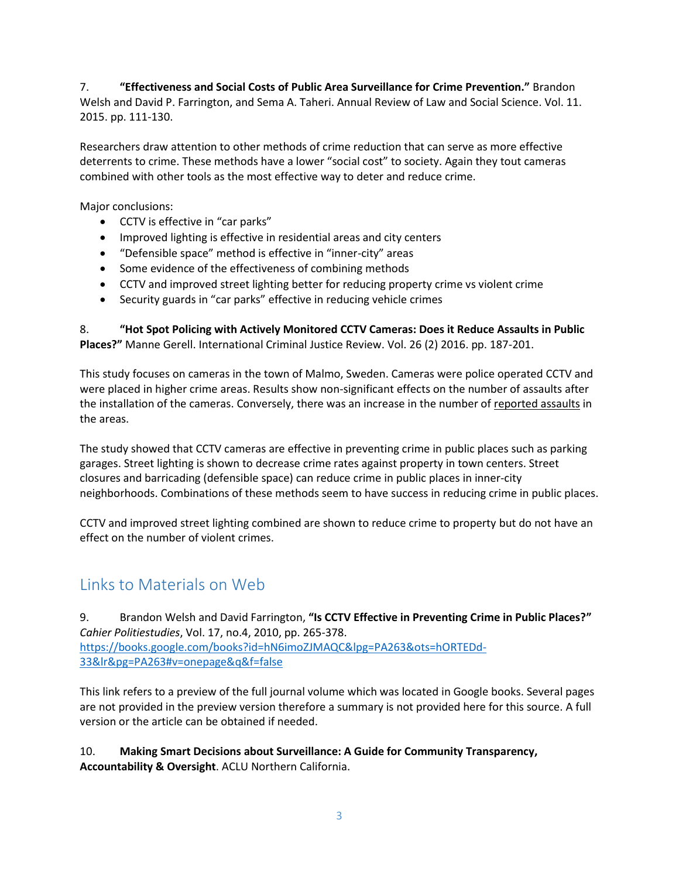7. **"Effectiveness and Social Costs of Public Area Surveillance for Crime Prevention."** Brandon Welsh and David P. Farrington, and Sema A. Taheri. Annual Review of Law and Social Science. Vol. 11. 2015. pp. 111-130.

Researchers draw attention to other methods of crime reduction that can serve as more effective deterrents to crime. These methods have a lower "social cost" to society. Again they tout cameras combined with other tools as the most effective way to deter and reduce crime.

Major conclusions:

- CCTV is effective in "car parks"
- Improved lighting is effective in residential areas and city centers
- "Defensible space" method is effective in "inner-city" areas
- Some evidence of the effectiveness of combining methods
- CCTV and improved street lighting better for reducing property crime vs violent crime
- Security guards in "car parks" effective in reducing vehicle crimes

8. **"Hot Spot Policing with Actively Monitored CCTV Cameras: Does it Reduce Assaults in Public Places?"** Manne Gerell. International Criminal Justice Review. Vol. 26 (2) 2016. pp. 187-201.

This study focuses on cameras in the town of Malmo, Sweden. Cameras were police operated CCTV and were placed in higher crime areas. Results show non-significant effects on the number of assaults after the installation of the cameras. Conversely, there was an increase in the number of reported assaults in the areas.

The study showed that CCTV cameras are effective in preventing crime in public places such as parking garages. Street lighting is shown to decrease crime rates against property in town centers. Street closures and barricading (defensible space) can reduce crime in public places in inner-city neighborhoods. Combinations of these methods seem to have success in reducing crime in public places.

CCTV and improved street lighting combined are shown to reduce crime to property but do not have an effect on the number of violent crimes.

### Links to Materials on Web

9. Brandon Welsh and David Farrington, **"Is CCTV Effective in Preventing Crime in Public Places?"** *Cahier Politiestudies*, Vol. 17, no.4, 2010, pp. 265-378. [https://books.google.com/books?id=hN6imoZJMAQC&lpg=PA263&ots=hORTEDd-](https://books.google.com/books?id=hN6imoZJMAQC&lpg=PA263&ots=hORTEDd-33&lr&pg=PA263#v=onepage&q&f=false)[33&lr&pg=PA263#v=onepage&q&f=false](https://books.google.com/books?id=hN6imoZJMAQC&lpg=PA263&ots=hORTEDd-33&lr&pg=PA263#v=onepage&q&f=false)

This link refers to a preview of the full journal volume which was located in Google books. Several pages are not provided in the preview version therefore a summary is not provided here for this source. A full version or the article can be obtained if needed.

10. **Making Smart Decisions about Surveillance: A Guide for Community Transparency, Accountability & Oversight**. ACLU Northern California.